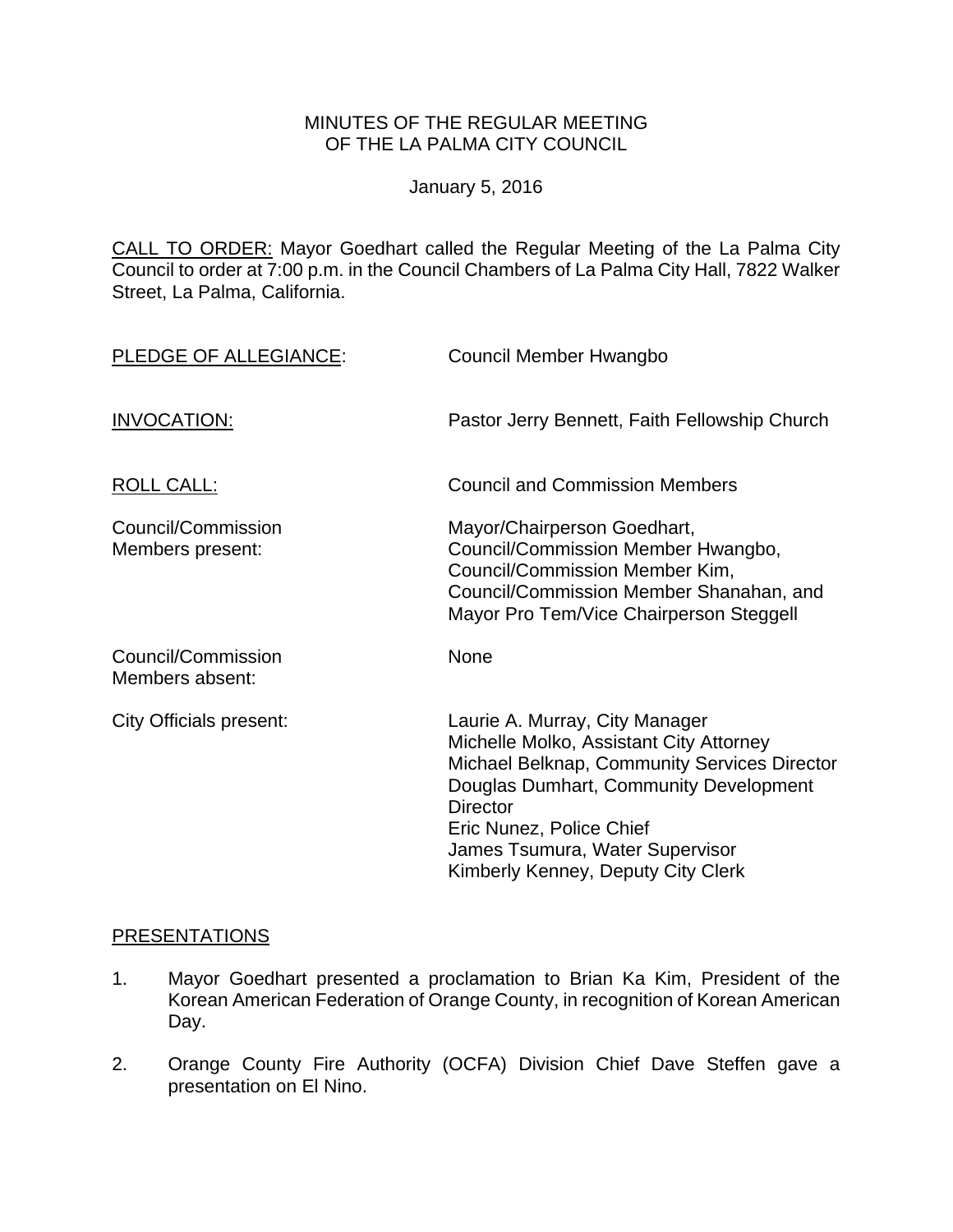### MINUTES OF THE REGULAR MEETING OF THE LA PALMA CITY COUNCIL

January 5, 2016

CALL TO ORDER: Mayor Goedhart called the Regular Meeting of the La Palma City Council to order at 7:00 p.m. in the Council Chambers of La Palma City Hall, 7822 Walker Street, La Palma, California.

| PLEDGE OF ALLEGIANCE:                  | Council Member Hwangbo                                                                                                                                                                                                                                                                      |
|----------------------------------------|---------------------------------------------------------------------------------------------------------------------------------------------------------------------------------------------------------------------------------------------------------------------------------------------|
| <b>INVOCATION:</b>                     | Pastor Jerry Bennett, Faith Fellowship Church                                                                                                                                                                                                                                               |
| <b>ROLL CALL:</b>                      | <b>Council and Commission Members</b>                                                                                                                                                                                                                                                       |
| Council/Commission<br>Members present: | Mayor/Chairperson Goedhart,<br>Council/Commission Member Hwangbo,<br>Council/Commission Member Kim,<br>Council/Commission Member Shanahan, and<br>Mayor Pro Tem/Vice Chairperson Steggell                                                                                                   |
| Council/Commission<br>Members absent:  | None                                                                                                                                                                                                                                                                                        |
| City Officials present:                | Laurie A. Murray, City Manager<br>Michelle Molko, Assistant City Attorney<br>Michael Belknap, Community Services Director<br>Douglas Dumhart, Community Development<br><b>Director</b><br>Eric Nunez, Police Chief<br>James Tsumura, Water Supervisor<br>Kimberly Kenney, Deputy City Clerk |

## PRESENTATIONS

- 1. Mayor Goedhart presented a proclamation to Brian Ka Kim, President of the Korean American Federation of Orange County, in recognition of Korean American Day.
- 2. Orange County Fire Authority (OCFA) Division Chief Dave Steffen gave a presentation on El Nino.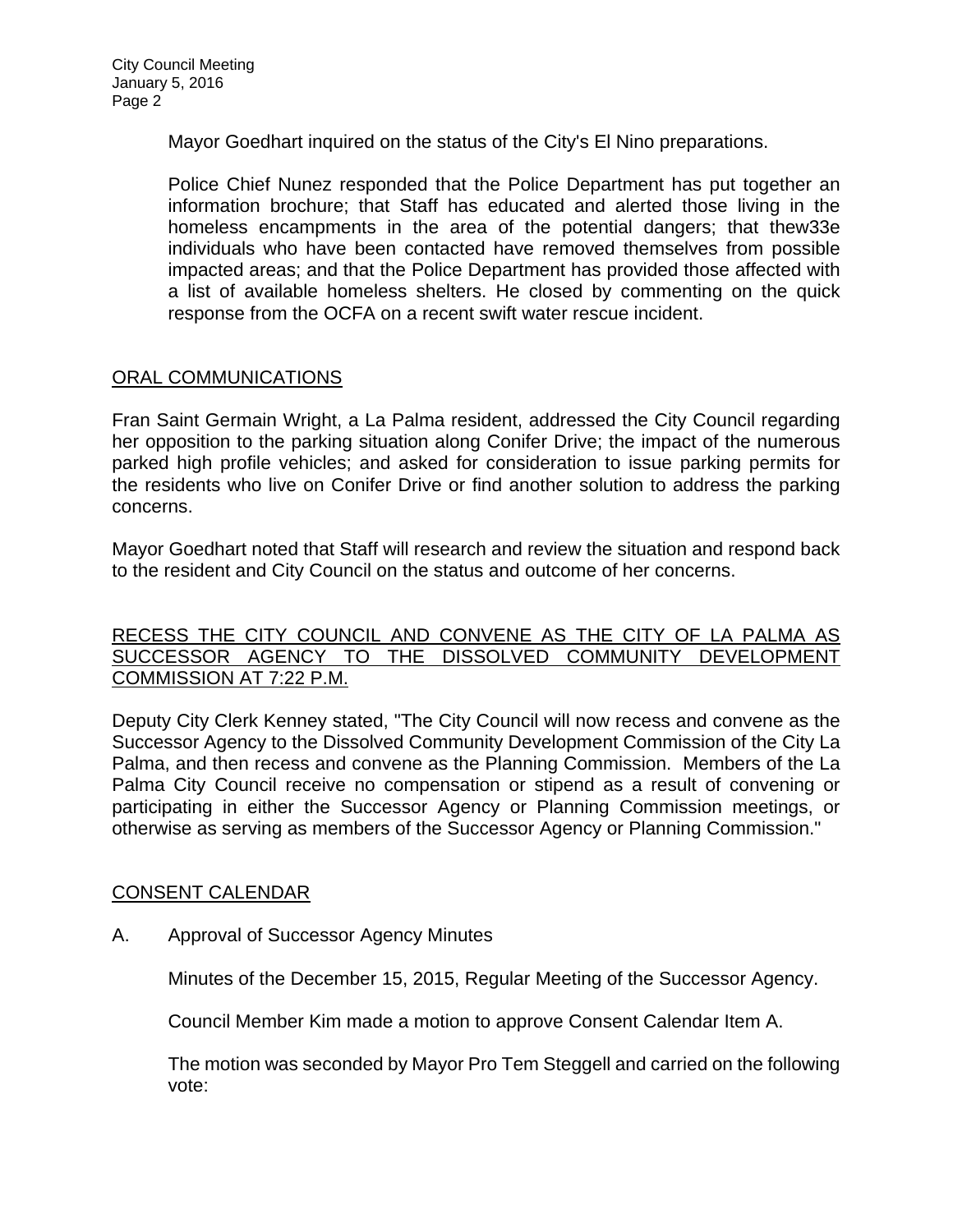Mayor Goedhart inquired on the status of the City's El Nino preparations.

Police Chief Nunez responded that the Police Department has put together an information brochure; that Staff has educated and alerted those living in the homeless encampments in the area of the potential dangers; that thew33e individuals who have been contacted have removed themselves from possible impacted areas; and that the Police Department has provided those affected with a list of available homeless shelters. He closed by commenting on the quick response from the OCFA on a recent swift water rescue incident.

## ORAL COMMUNICATIONS

Fran Saint Germain Wright, a La Palma resident, addressed the City Council regarding her opposition to the parking situation along Conifer Drive; the impact of the numerous parked high profile vehicles; and asked for consideration to issue parking permits for the residents who live on Conifer Drive or find another solution to address the parking concerns.

Mayor Goedhart noted that Staff will research and review the situation and respond back to the resident and City Council on the status and outcome of her concerns.

## RECESS THE CITY COUNCIL AND CONVENE AS THE CITY OF LA PALMA AS SUCCESSOR AGENCY TO THE DISSOLVED COMMUNITY DEVELOPMENT COMMISSION AT 7:22 P.M.

Deputy City Clerk Kenney stated, "The City Council will now recess and convene as the Successor Agency to the Dissolved Community Development Commission of the City La Palma, and then recess and convene as the Planning Commission. Members of the La Palma City Council receive no compensation or stipend as a result of convening or participating in either the Successor Agency or Planning Commission meetings, or otherwise as serving as members of the Successor Agency or Planning Commission."

## CONSENT CALENDAR

A. Approval of Successor Agency Minutes

Minutes of the December 15, 2015, Regular Meeting of the Successor Agency.

Council Member Kim made a motion to approve Consent Calendar Item A.

The motion was seconded by Mayor Pro Tem Steggell and carried on the following vote: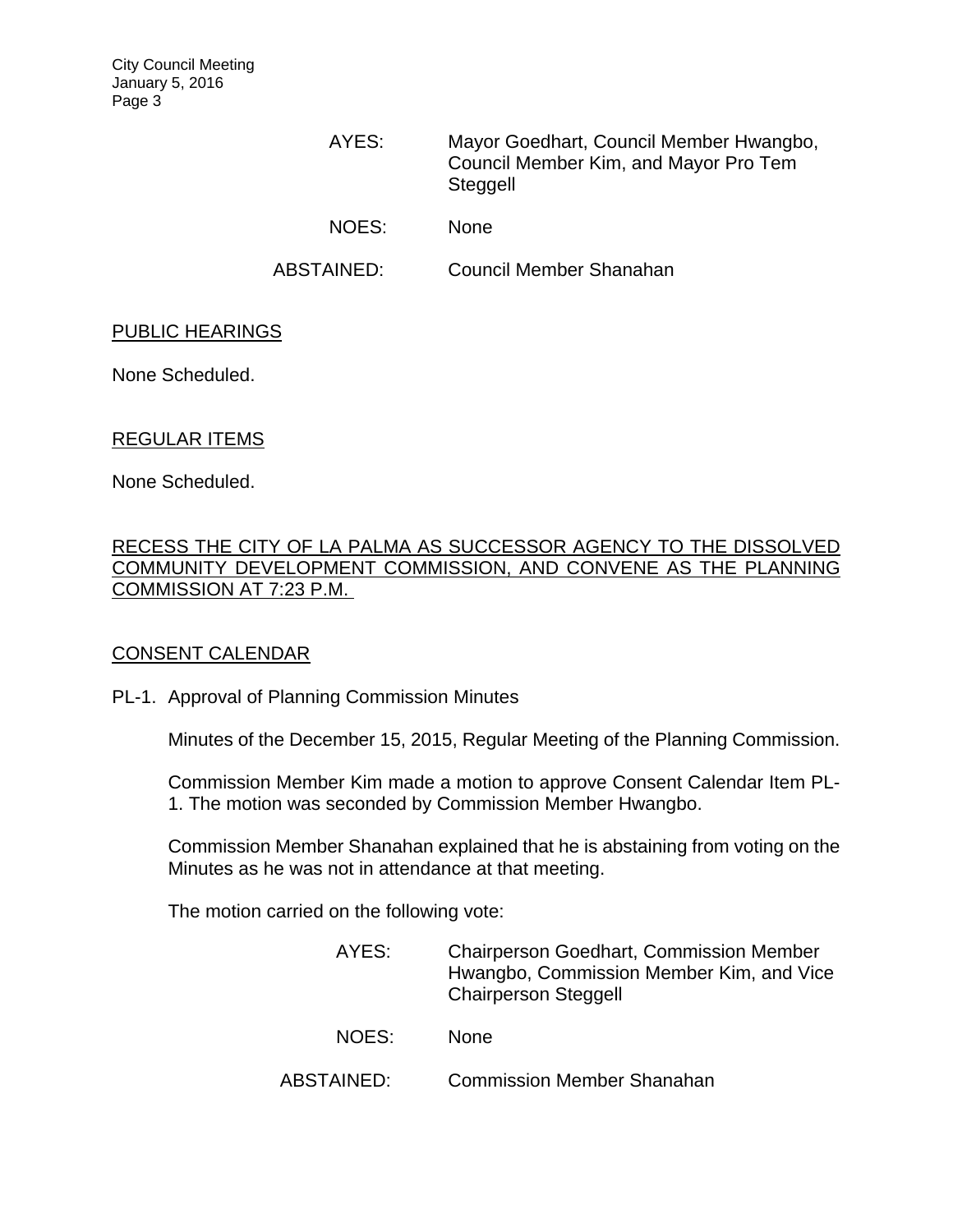City Council Meeting January 5, 2016 Page 3

> AYES: Mayor Goedhart, Council Member Hwangbo, Council Member Kim, and Mayor Pro Tem **Steggell** NOES: None

ABSTAINED: Council Member Shanahan

### PUBLIC HEARINGS

None Scheduled.

## REGULAR ITEMS

None Scheduled.

## RECESS THE CITY OF LA PALMA AS SUCCESSOR AGENCY TO THE DISSOLVED COMMUNITY DEVELOPMENT COMMISSION, AND CONVENE AS THE PLANNING COMMISSION AT 7:23 P.M.

## CONSENT CALENDAR

#### PL-1. Approval of Planning Commission Minutes

Minutes of the December 15, 2015, Regular Meeting of the Planning Commission.

Commission Member Kim made a motion to approve Consent Calendar Item PL-1. The motion was seconded by Commission Member Hwangbo.

Commission Member Shanahan explained that he is abstaining from voting on the Minutes as he was not in attendance at that meeting.

The motion carried on the following vote:

| AYES:      | <b>Chairperson Goedhart, Commission Member</b><br>Hwangbo, Commission Member Kim, and Vice<br><b>Chairperson Steggell</b> |
|------------|---------------------------------------------------------------------------------------------------------------------------|
| NOES:      | <b>None</b>                                                                                                               |
| ABSTAINED: | <b>Commission Member Shanahan</b>                                                                                         |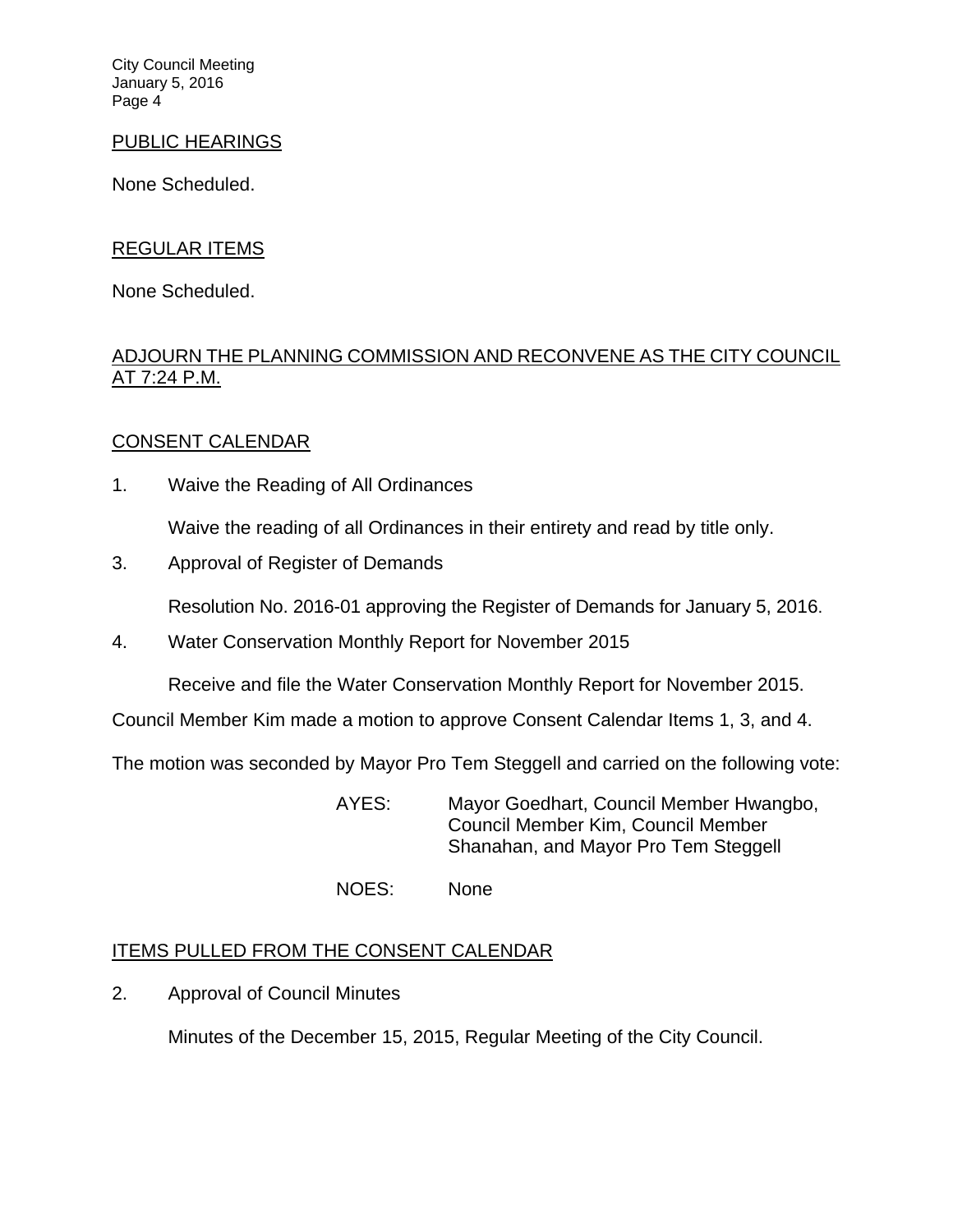City Council Meeting January 5, 2016 Page 4

### PUBLIC HEARINGS

None Scheduled.

## REGULAR ITEMS

None Scheduled.

# ADJOURN THE PLANNING COMMISSION AND RECONVENE AS THE CITY COUNCIL AT 7:24 P.M.

## CONSENT CALENDAR

1. Waive the Reading of All Ordinances

Waive the reading of all Ordinances in their entirety and read by title only.

3. Approval of Register of Demands

Resolution No. 2016-01 approving the Register of Demands for January 5, 2016.

4. Water Conservation Monthly Report for November 2015

Receive and file the Water Conservation Monthly Report for November 2015.

Council Member Kim made a motion to approve Consent Calendar Items 1, 3, and 4.

The motion was seconded by Mayor Pro Tem Steggell and carried on the following vote:

 AYES: Mayor Goedhart, Council Member Hwangbo, Council Member Kim, Council Member Shanahan, and Mayor Pro Tem Steggell

NOES: None

## **ITEMS PULLED FROM THE CONSENT CALENDAR**

2. Approval of Council Minutes

Minutes of the December 15, 2015, Regular Meeting of the City Council.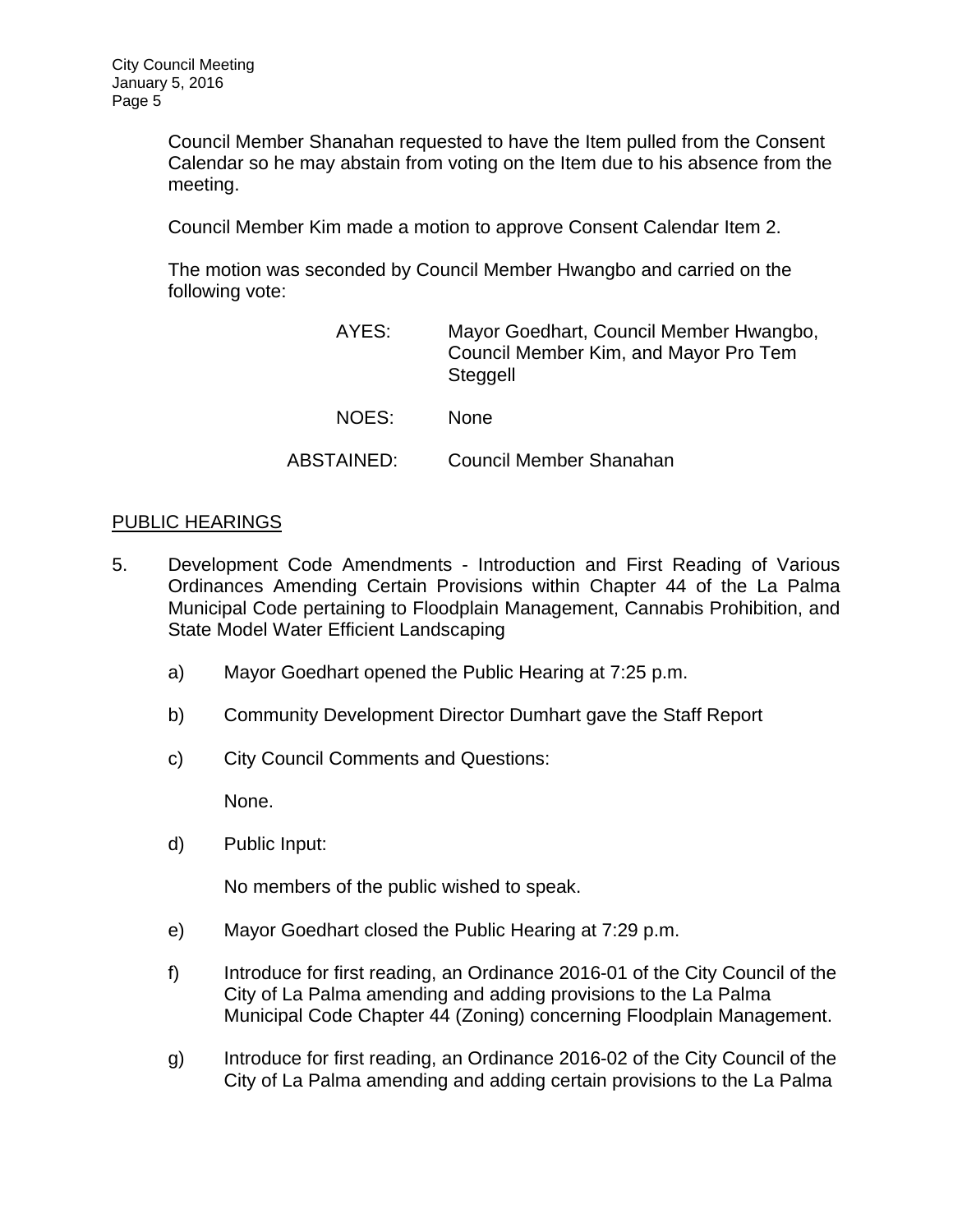Council Member Shanahan requested to have the Item pulled from the Consent Calendar so he may abstain from voting on the Item due to his absence from the meeting.

Council Member Kim made a motion to approve Consent Calendar Item 2.

The motion was seconded by Council Member Hwangbo and carried on the following vote:

| AYES:      | Mayor Goedhart, Council Member Hwangbo,<br>Council Member Kim, and Mayor Pro Tem<br>Steggell |
|------------|----------------------------------------------------------------------------------------------|
| NOES:      | <b>None</b>                                                                                  |
| ABSTAINED: | Council Member Shanahan                                                                      |

## PUBLIC HEARINGS

- 5. Development Code Amendments Introduction and First Reading of Various Ordinances Amending Certain Provisions within Chapter 44 of the La Palma Municipal Code pertaining to Floodplain Management, Cannabis Prohibition, and State Model Water Efficient Landscaping
	- a) Mayor Goedhart opened the Public Hearing at 7:25 p.m.
	- b) Community Development Director Dumhart gave the Staff Report
	- c) City Council Comments and Questions:

None.

d) Public Input:

No members of the public wished to speak.

- e) Mayor Goedhart closed the Public Hearing at 7:29 p.m.
- f) Introduce for first reading, an Ordinance 2016-01 of the City Council of the City of La Palma amending and adding provisions to the La Palma Municipal Code Chapter 44 (Zoning) concerning Floodplain Management.
- g) Introduce for first reading, an Ordinance 2016-02 of the City Council of the City of La Palma amending and adding certain provisions to the La Palma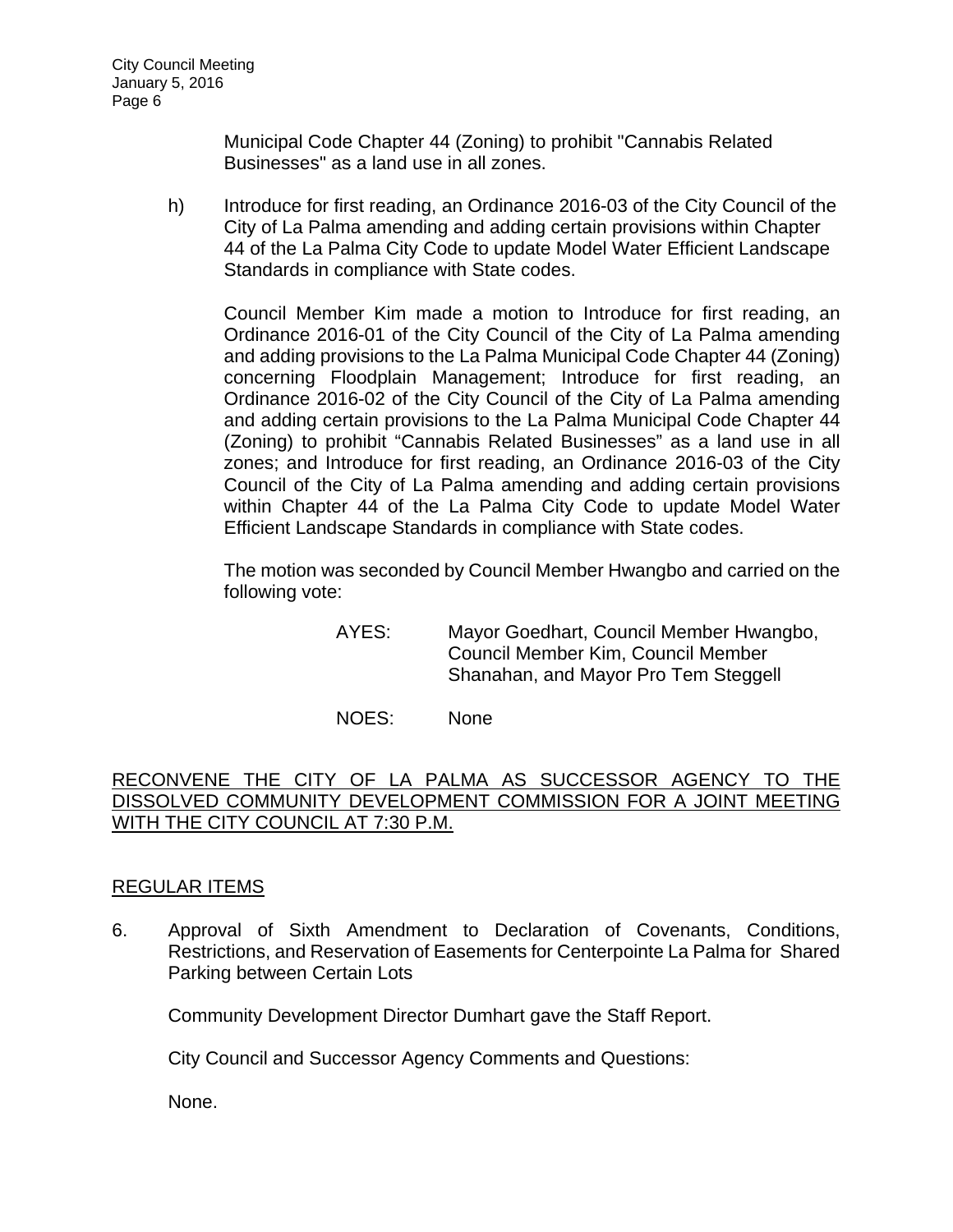Municipal Code Chapter 44 (Zoning) to prohibit "Cannabis Related Businesses" as a land use in all zones.

h) Introduce for first reading, an Ordinance 2016-03 of the City Council of the City of La Palma amending and adding certain provisions within Chapter 44 of the La Palma City Code to update Model Water Efficient Landscape Standards in compliance with State codes.

Council Member Kim made a motion to Introduce for first reading, an Ordinance 2016-01 of the City Council of the City of La Palma amending and adding provisions to the La Palma Municipal Code Chapter 44 (Zoning) concerning Floodplain Management; Introduce for first reading, an Ordinance 2016-02 of the City Council of the City of La Palma amending and adding certain provisions to the La Palma Municipal Code Chapter 44 (Zoning) to prohibit "Cannabis Related Businesses" as a land use in all zones; and Introduce for first reading, an Ordinance 2016-03 of the City Council of the City of La Palma amending and adding certain provisions within Chapter 44 of the La Palma City Code to update Model Water Efficient Landscape Standards in compliance with State codes.

The motion was seconded by Council Member Hwangbo and carried on the following vote:

> AYES: Mayor Goedhart, Council Member Hwangbo, Council Member Kim, Council Member Shanahan, and Mayor Pro Tem Steggell

NOES: None

# RECONVENE THE CITY OF LA PALMA AS SUCCESSOR AGENCY TO THE DISSOLVED COMMUNITY DEVELOPMENT COMMISSION FOR A JOINT MEETING WITH THE CITY COUNCIL AT 7:30 P.M.

## REGULAR ITEMS

6. Approval of Sixth Amendment to Declaration of Covenants, Conditions, Restrictions, and Reservation of Easements for Centerpointe La Palma for Shared Parking between Certain Lots

Community Development Director Dumhart gave the Staff Report.

City Council and Successor Agency Comments and Questions:

None.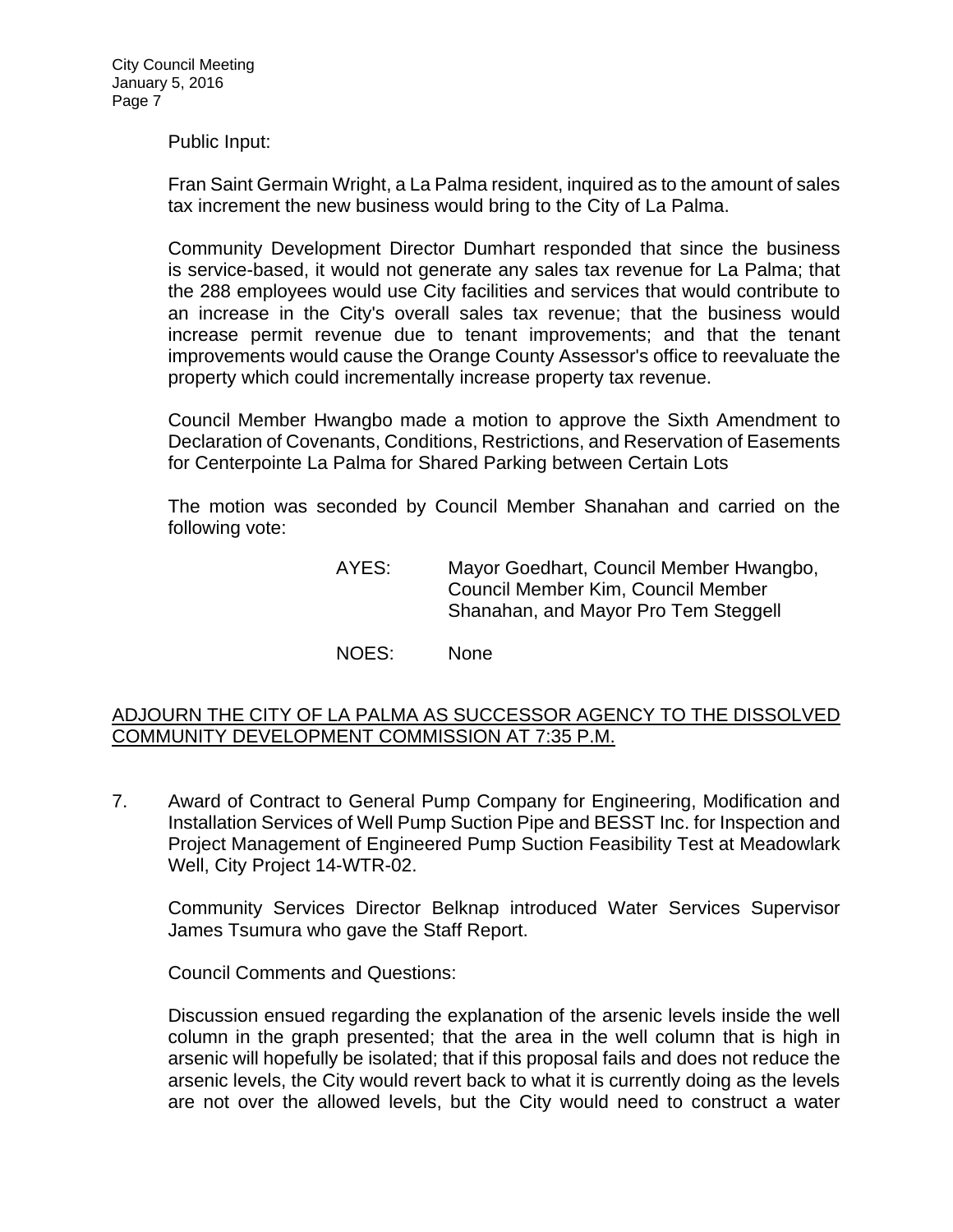Public Input:

Fran Saint Germain Wright, a La Palma resident, inquired as to the amount of sales tax increment the new business would bring to the City of La Palma.

Community Development Director Dumhart responded that since the business is service-based, it would not generate any sales tax revenue for La Palma; that the 288 employees would use City facilities and services that would contribute to an increase in the City's overall sales tax revenue; that the business would increase permit revenue due to tenant improvements; and that the tenant improvements would cause the Orange County Assessor's office to reevaluate the property which could incrementally increase property tax revenue.

Council Member Hwangbo made a motion to approve the Sixth Amendment to Declaration of Covenants, Conditions, Restrictions, and Reservation of Easements for Centerpointe La Palma for Shared Parking between Certain Lots

The motion was seconded by Council Member Shanahan and carried on the following vote:

> AYES: Mayor Goedhart, Council Member Hwangbo, Council Member Kim, Council Member Shanahan, and Mayor Pro Tem Steggell

NOES: None

### ADJOURN THE CITY OF LA PALMA AS SUCCESSOR AGENCY TO THE DISSOLVED COMMUNITY DEVELOPMENT COMMISSION AT 7:35 P.M.

7. Award of Contract to General Pump Company for Engineering, Modification and Installation Services of Well Pump Suction Pipe and BESST Inc. for Inspection and Project Management of Engineered Pump Suction Feasibility Test at Meadowlark Well, City Project 14-WTR-02.

Community Services Director Belknap introduced Water Services Supervisor James Tsumura who gave the Staff Report.

Council Comments and Questions:

Discussion ensued regarding the explanation of the arsenic levels inside the well column in the graph presented; that the area in the well column that is high in arsenic will hopefully be isolated; that if this proposal fails and does not reduce the arsenic levels, the City would revert back to what it is currently doing as the levels are not over the allowed levels, but the City would need to construct a water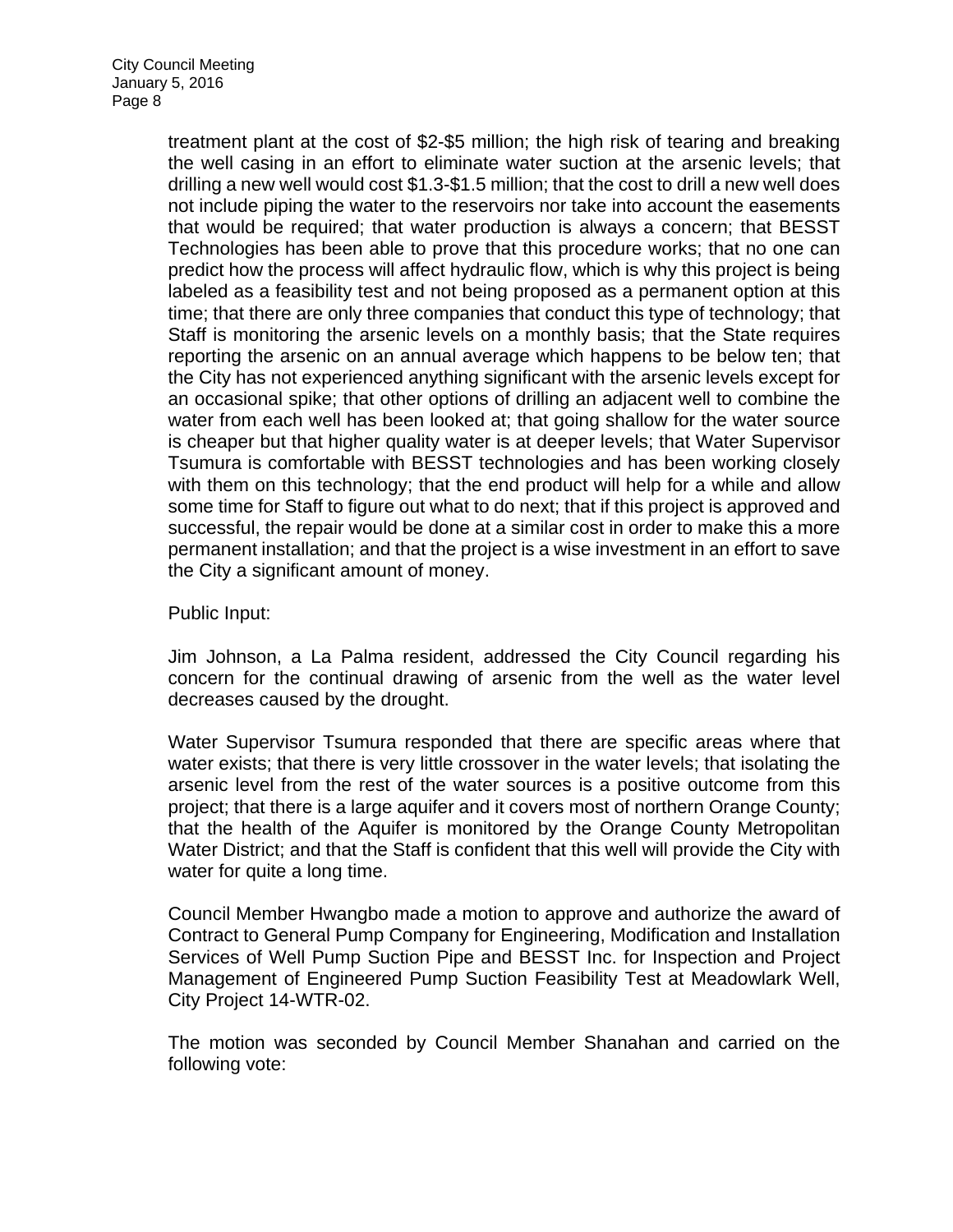treatment plant at the cost of \$2-\$5 million; the high risk of tearing and breaking the well casing in an effort to eliminate water suction at the arsenic levels; that drilling a new well would cost \$1.3-\$1.5 million; that the cost to drill a new well does not include piping the water to the reservoirs nor take into account the easements that would be required; that water production is always a concern; that BESST Technologies has been able to prove that this procedure works; that no one can predict how the process will affect hydraulic flow, which is why this project is being labeled as a feasibility test and not being proposed as a permanent option at this time; that there are only three companies that conduct this type of technology; that Staff is monitoring the arsenic levels on a monthly basis; that the State requires reporting the arsenic on an annual average which happens to be below ten; that the City has not experienced anything significant with the arsenic levels except for an occasional spike; that other options of drilling an adjacent well to combine the water from each well has been looked at; that going shallow for the water source is cheaper but that higher quality water is at deeper levels; that Water Supervisor Tsumura is comfortable with BESST technologies and has been working closely with them on this technology; that the end product will help for a while and allow some time for Staff to figure out what to do next; that if this project is approved and successful, the repair would be done at a similar cost in order to make this a more permanent installation; and that the project is a wise investment in an effort to save the City a significant amount of money.

Public Input:

Jim Johnson, a La Palma resident, addressed the City Council regarding his concern for the continual drawing of arsenic from the well as the water level decreases caused by the drought.

Water Supervisor Tsumura responded that there are specific areas where that water exists; that there is very little crossover in the water levels; that isolating the arsenic level from the rest of the water sources is a positive outcome from this project; that there is a large aquifer and it covers most of northern Orange County; that the health of the Aquifer is monitored by the Orange County Metropolitan Water District; and that the Staff is confident that this well will provide the City with water for quite a long time.

Council Member Hwangbo made a motion to approve and authorize the award of Contract to General Pump Company for Engineering, Modification and Installation Services of Well Pump Suction Pipe and BESST Inc. for Inspection and Project Management of Engineered Pump Suction Feasibility Test at Meadowlark Well, City Project 14-WTR-02.

The motion was seconded by Council Member Shanahan and carried on the following vote: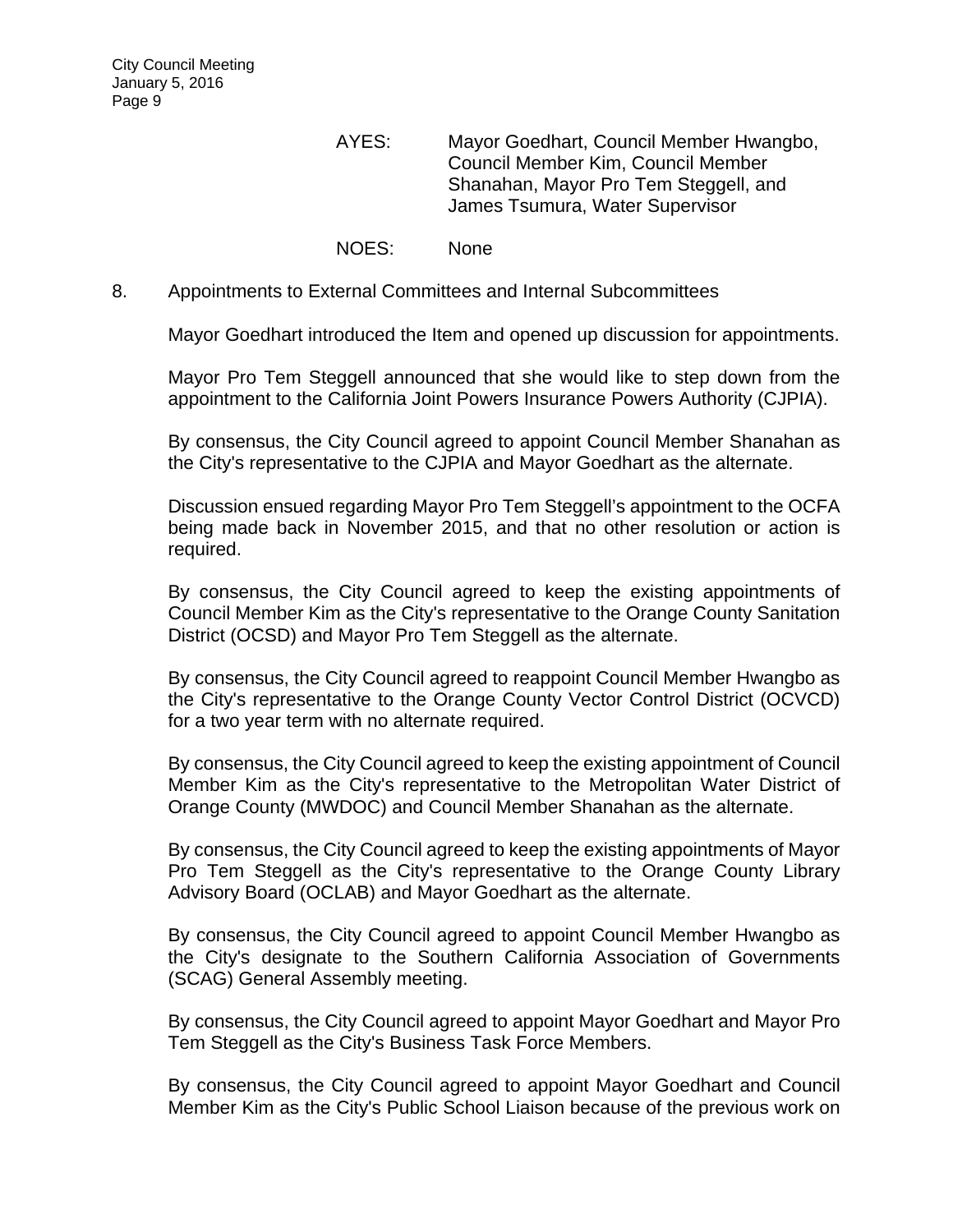- AYES: Mayor Goedhart, Council Member Hwangbo, Council Member Kim, Council Member Shanahan, Mayor Pro Tem Steggell, and James Tsumura, Water Supervisor
- NOES: None
- 8. Appointments to External Committees and Internal Subcommittees

Mayor Goedhart introduced the Item and opened up discussion for appointments.

Mayor Pro Tem Steggell announced that she would like to step down from the appointment to the California Joint Powers Insurance Powers Authority (CJPIA).

By consensus, the City Council agreed to appoint Council Member Shanahan as the City's representative to the CJPIA and Mayor Goedhart as the alternate.

Discussion ensued regarding Mayor Pro Tem Steggell's appointment to the OCFA being made back in November 2015, and that no other resolution or action is required.

By consensus, the City Council agreed to keep the existing appointments of Council Member Kim as the City's representative to the Orange County Sanitation District (OCSD) and Mayor Pro Tem Steggell as the alternate.

By consensus, the City Council agreed to reappoint Council Member Hwangbo as the City's representative to the Orange County Vector Control District (OCVCD) for a two year term with no alternate required.

By consensus, the City Council agreed to keep the existing appointment of Council Member Kim as the City's representative to the Metropolitan Water District of Orange County (MWDOC) and Council Member Shanahan as the alternate.

By consensus, the City Council agreed to keep the existing appointments of Mayor Pro Tem Steggell as the City's representative to the Orange County Library Advisory Board (OCLAB) and Mayor Goedhart as the alternate.

By consensus, the City Council agreed to appoint Council Member Hwangbo as the City's designate to the Southern California Association of Governments (SCAG) General Assembly meeting.

By consensus, the City Council agreed to appoint Mayor Goedhart and Mayor Pro Tem Steggell as the City's Business Task Force Members.

By consensus, the City Council agreed to appoint Mayor Goedhart and Council Member Kim as the City's Public School Liaison because of the previous work on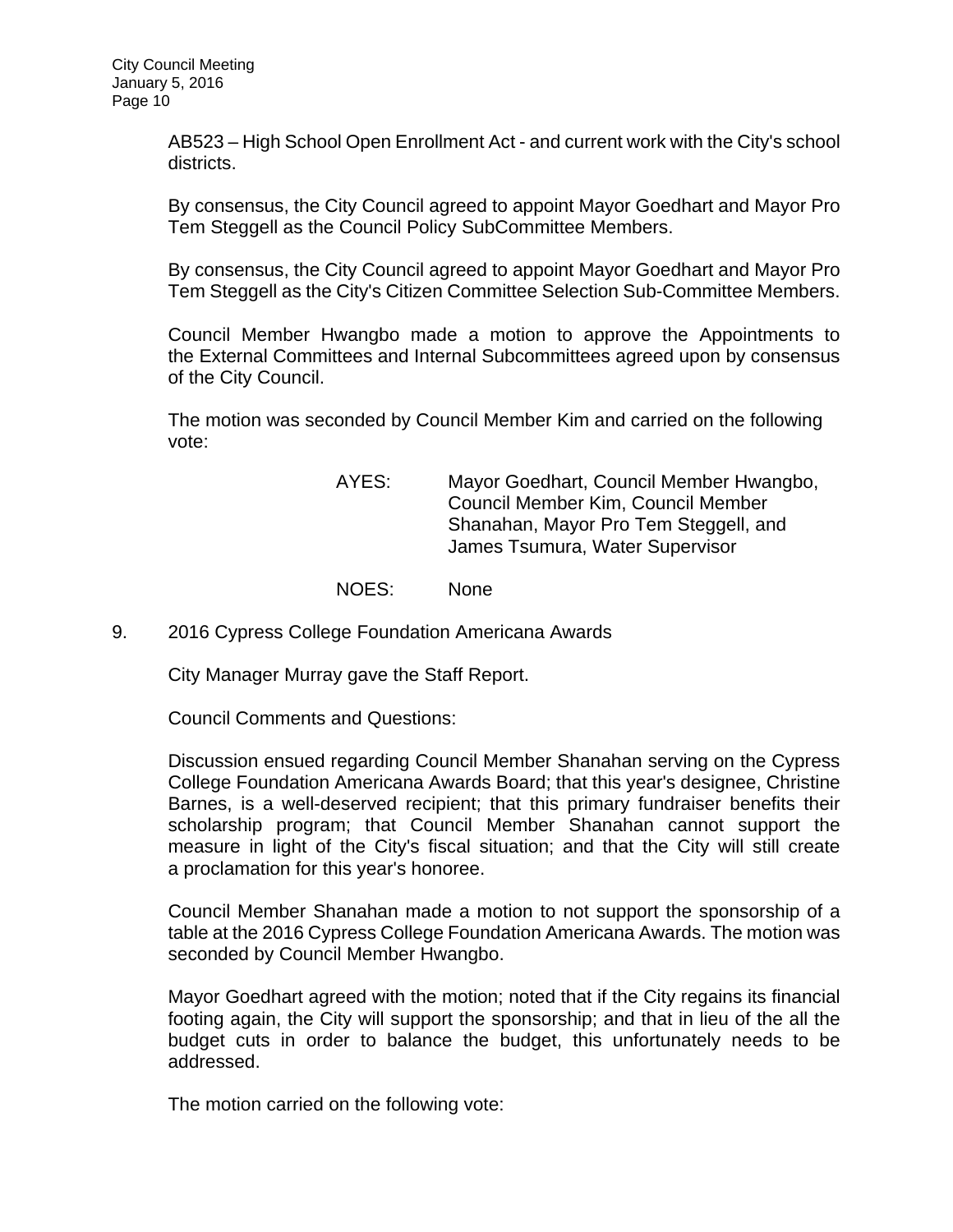AB523 – High School Open Enrollment Act - and current work with the City's school districts.

By consensus, the City Council agreed to appoint Mayor Goedhart and Mayor Pro Tem Steggell as the Council Policy SubCommittee Members.

By consensus, the City Council agreed to appoint Mayor Goedhart and Mayor Pro Tem Steggell as the City's Citizen Committee Selection Sub-Committee Members.

Council Member Hwangbo made a motion to approve the Appointments to the External Committees and Internal Subcommittees agreed upon by consensus of the City Council.

The motion was seconded by Council Member Kim and carried on the following vote:

- AYES: Mayor Goedhart, Council Member Hwangbo, Council Member Kim, Council Member Shanahan, Mayor Pro Tem Steggell, and James Tsumura, Water Supervisor
- NOES: None
- 9. 2016 Cypress College Foundation Americana Awards

City Manager Murray gave the Staff Report.

Council Comments and Questions:

Discussion ensued regarding Council Member Shanahan serving on the Cypress College Foundation Americana Awards Board; that this year's designee, Christine Barnes, is a well-deserved recipient; that this primary fundraiser benefits their scholarship program; that Council Member Shanahan cannot support the measure in light of the City's fiscal situation; and that the City will still create a proclamation for this year's honoree.

Council Member Shanahan made a motion to not support the sponsorship of a table at the 2016 Cypress College Foundation Americana Awards. The motion was seconded by Council Member Hwangbo.

Mayor Goedhart agreed with the motion; noted that if the City regains its financial footing again, the City will support the sponsorship; and that in lieu of the all the budget cuts in order to balance the budget, this unfortunately needs to be addressed.

The motion carried on the following vote: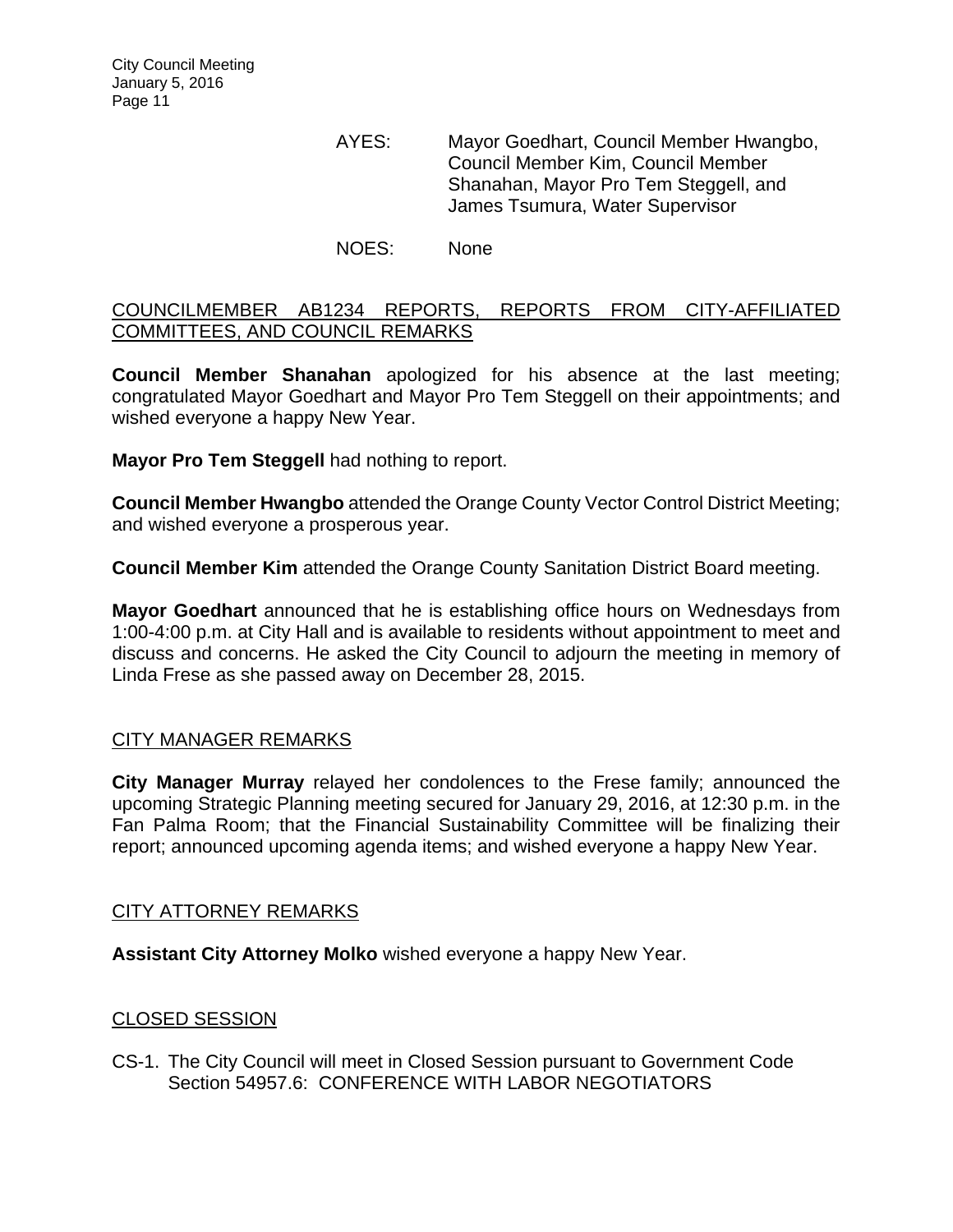AYES: Mayor Goedhart, Council Member Hwangbo, Council Member Kim, Council Member Shanahan, Mayor Pro Tem Steggell, and James Tsumura, Water Supervisor

NOES: None

## COUNCILMEMBER AB1234 REPORTS, REPORTS FROM CITY-AFFILIATED COMMITTEES, AND COUNCIL REMARKS

**Council Member Shanahan** apologized for his absence at the last meeting; congratulated Mayor Goedhart and Mayor Pro Tem Steggell on their appointments; and wished everyone a happy New Year.

**Mayor Pro Tem Steggell** had nothing to report.

**Council Member Hwangbo** attended the Orange County Vector Control District Meeting; and wished everyone a prosperous year.

**Council Member Kim** attended the Orange County Sanitation District Board meeting.

**Mayor Goedhart** announced that he is establishing office hours on Wednesdays from 1:00-4:00 p.m. at City Hall and is available to residents without appointment to meet and discuss and concerns. He asked the City Council to adjourn the meeting in memory of Linda Frese as she passed away on December 28, 2015.

## CITY MANAGER REMARKS

**City Manager Murray** relayed her condolences to the Frese family; announced the upcoming Strategic Planning meeting secured for January 29, 2016, at 12:30 p.m. in the Fan Palma Room; that the Financial Sustainability Committee will be finalizing their report; announced upcoming agenda items; and wished everyone a happy New Year.

## CITY ATTORNEY REMARKS

**Assistant City Attorney Molko** wished everyone a happy New Year.

## CLOSED SESSION

CS-1. The City Council will meet in Closed Session pursuant to Government Code Section 54957.6: CONFERENCE WITH LABOR NEGOTIATORS